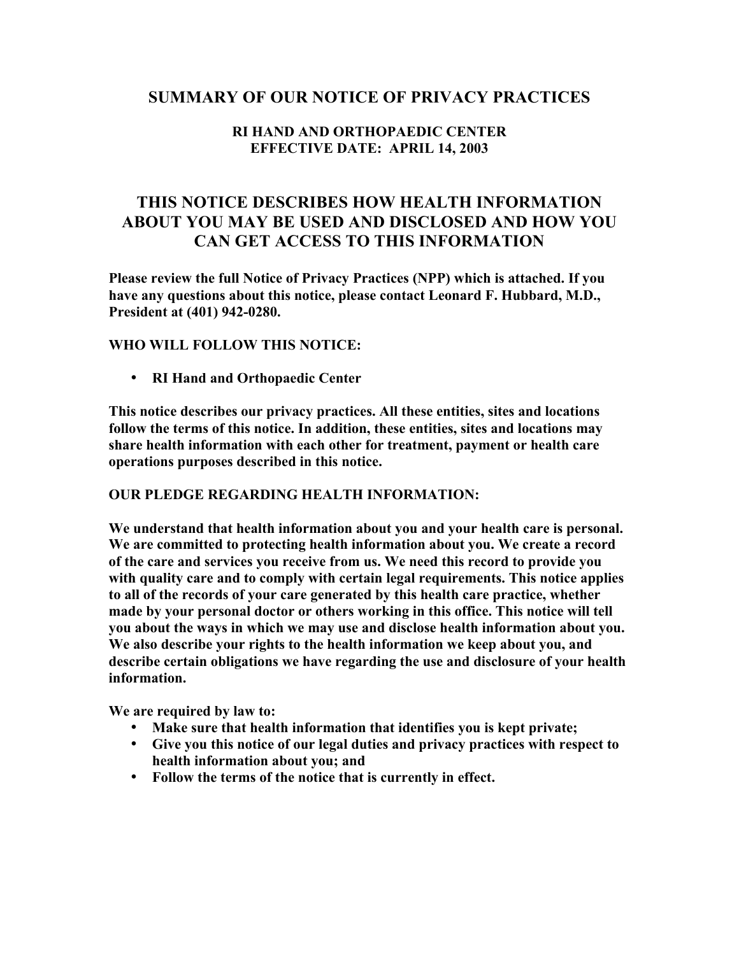## **SUMMARY OF OUR NOTICE OF PRIVACY PRACTICES**

## **RI HAND AND ORTHOPAEDIC CENTER EFFECTIVE DATE: APRIL 14, 2003**

# **THIS NOTICE DESCRIBES HOW HEALTH INFORMATION ABOUT YOU MAY BE USED AND DISCLOSED AND HOW YOU CAN GET ACCESS TO THIS INFORMATION**

**Please review the full Notice of Privacy Practices (NPP) which is attached. If you have any questions about this notice, please contact Leonard F. Hubbard, M.D., President at (401) 942-0280.**

## **WHO WILL FOLLOW THIS NOTICE:**

• **RI Hand and Orthopaedic Center**

**This notice describes our privacy practices. All these entities, sites and locations follow the terms of this notice. In addition, these entities, sites and locations may share health information with each other for treatment, payment or health care operations purposes described in this notice.**

#### **OUR PLEDGE REGARDING HEALTH INFORMATION:**

**We understand that health information about you and your health care is personal. We are committed to protecting health information about you. We create a record of the care and services you receive from us. We need this record to provide you with quality care and to comply with certain legal requirements. This notice applies to all of the records of your care generated by this health care practice, whether made by your personal doctor or others working in this office. This notice will tell you about the ways in which we may use and disclose health information about you. We also describe your rights to the health information we keep about you, and describe certain obligations we have regarding the use and disclosure of your health information.**

**We are required by law to:**

- **Make sure that health information that identifies you is kept private;**
- **Give you this notice of our legal duties and privacy practices with respect to health information about you; and**
- **Follow the terms of the notice that is currently in effect.**